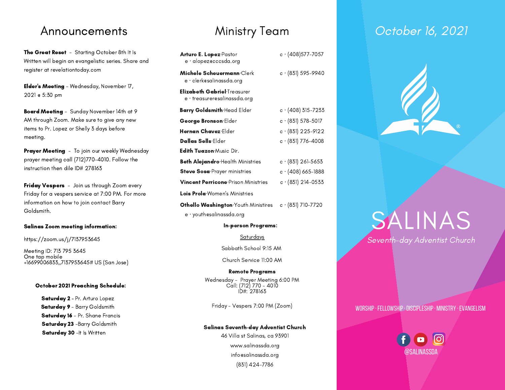The Great Reset - Starting October 8th It Is Written will begin an evangelistic series. Share and register at revelationtoday.com

Elder's Meeting - Wednesday, November 17, 2021 @ 5:30 pm

Board Meeting - Sunday November 14th at 9 AM through Zoom. Make sure to give any new items to Pr. Lopez or Shelly 3 days before meeting.

Prayer Meeting - To join our weekly Wednesday prayer meeting call (712)770-4010. Follow the instruction then dile ID# 278163

Friday Vespers - Join us through Zoom every Friday for a vespers service at 7:00 PM. For more information on how to join contact Barry Goldsmith.

#### Salinas Zoom meeting information:

#### https://zoom.us/j/7137953645

Meeting ID: 713 795 3645 One tap mobile +16699006833,,7137953645# US (San Jose)

#### October 2021 Preaching Schedule:

Saturday 2 - Pr. Arturo Lopez Saturday 9 - Barry Goldsmith Saturday 16 - Pr. Shane Francis Saturday 23 -Barry Goldsmith Saturday 30 -It Is Written

| <b>Arturo E. Lopez</b> -Pastor<br>e · alopezecccsda.org     | $c \cdot (408)$ 577-7057   |
|-------------------------------------------------------------|----------------------------|
| Michele Scheuermann·Clerk<br>e · clerk@salinassda.org       | $c \cdot (831) 595 - 9940$ |
| Elizabeth Gabriel·Treasurer<br>e · treasurer@salinassda.org |                            |
| <b>Barry Goldsmith</b> Head Elder                           | $c \cdot (408)$ 315-7233   |
| George Bronson Elder                                        | $c \cdot (831) 578 - 5017$ |
| Hernan Chavez·Elder                                         | $c \cdot (831)$ 225-9122   |
| <b>Dallas Sells</b> ·Elder                                  | $c \cdot (831)$ 776–4008   |
| <b>Edith Tuazon:</b> Music Dir.                             |                            |
| <b>Beth Alejandro</b> Health Ministries                     | $c \cdot (831)$ 261-5653   |
| <b>Steve Sosa</b> Prayer ministries                         | $c \cdot (408)$ 665–1888   |
| <b>Vincent Perricone</b> Prison Ministries                  | $c \cdot (831)$ 214-0533   |
| <b>Lois Prola</b> Women's Ministries                        |                            |

Othello Washington∙Youth Ministires c · (831) 710-7720 e · youth@salinassda.org

#### In-person Programs:

Saturdays

Sabbath School 9:15 AM

Church Service 11:00 AM

#### Remote Programs

Wednesday - Prayer Meeting 6:00 PM Call: (712) 770 - 4010 ID#: 278163

Friday - Vespers 7:00 PM (Zoom)

#### Salinas Seventh-day Adventist Church

46 Villa st Salinas, ca 93901 www.salinassda.org info@salinassda.org (831) 424-7786

## Announcements Ministry Team Cotober 16, 2021



# SALINAS Seventh-day Adventist Church

### worship·fellowship·discipleship· ministry ·evangelism